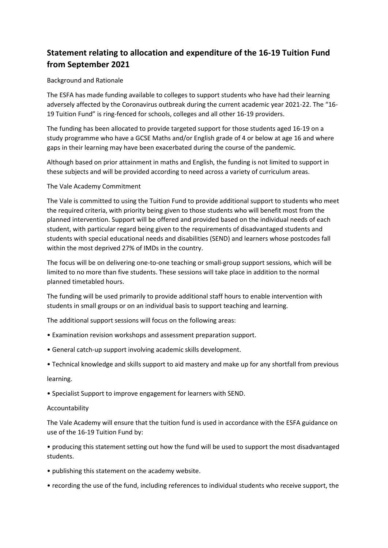# **Statement relating to allocation and expenditure of the 16-19 Tuition Fund from September 2021**

## Background and Rationale

The ESFA has made funding available to colleges to support students who have had their learning adversely affected by the Coronavirus outbreak during the current academic year 2021-22. The "16- 19 Tuition Fund" is ring-fenced for schools, colleges and all other 16-19 providers.

The funding has been allocated to provide targeted support for those students aged 16-19 on a study programme who have a GCSE Maths and/or English grade of 4 or below at age 16 and where gaps in their learning may have been exacerbated during the course of the pandemic.

Although based on prior attainment in maths and English, the funding is not limited to support in these subjects and will be provided according to need across a variety of curriculum areas.

## The Vale Academy Commitment

The Vale is committed to using the Tuition Fund to provide additional support to students who meet the required criteria, with priority being given to those students who will benefit most from the planned intervention. Support will be offered and provided based on the individual needs of each student, with particular regard being given to the requirements of disadvantaged students and students with special educational needs and disabilities (SEND) and learners whose postcodes fall within the most deprived 27% of IMDs in the country.

The focus will be on delivering one-to-one teaching or small-group support sessions, which will be limited to no more than five students. These sessions will take place in addition to the normal planned timetabled hours.

The funding will be used primarily to provide additional staff hours to enable intervention with students in small groups or on an individual basis to support teaching and learning.

The additional support sessions will focus on the following areas:

- Examination revision workshops and assessment preparation support.
- General catch-up support involving academic skills development.
- Technical knowledge and skills support to aid mastery and make up for any shortfall from previous

### learning.

• Specialist Support to improve engagement for learners with SEND.

### Accountability

The Vale Academy will ensure that the tuition fund is used in accordance with the ESFA guidance on use of the 16-19 Tuition Fund by:

• producing this statement setting out how the fund will be used to support the most disadvantaged students.

- publishing this statement on the academy website.
- recording the use of the fund, including references to individual students who receive support, the